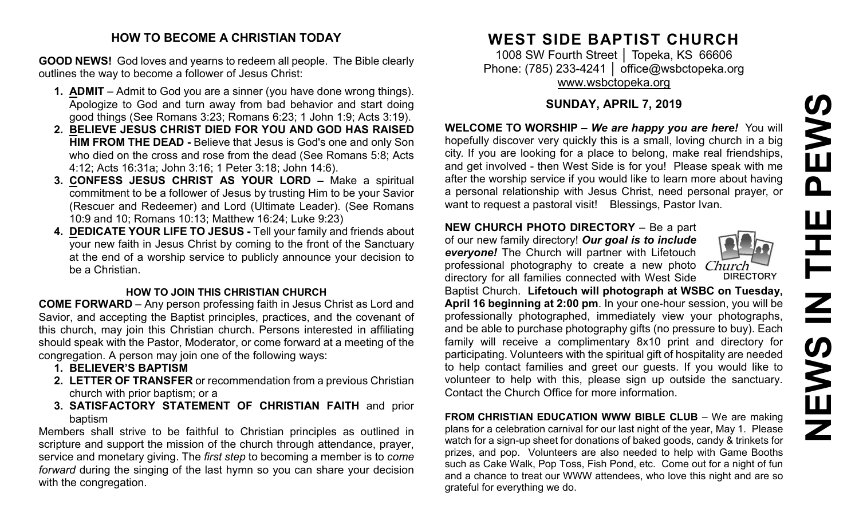# **NEWS IN THE PEWS**PEWS ᆍ Z **SWEMS**

#### **HOW TO BECOME A CHRISTIAN TODAY**

**GOOD NEWS!** God loves and yearns to redeem all people. The Bible clearly outlines the way to become a follower of Jesus Christ:

- **1. ADMIT** Admit to God you are a sinner (you have done wrong things). Apologize to God and turn away from bad behavior and start doing good things (See Romans 3:23; Romans 6:23; 1 John 1:9; Acts 3:19).
- **2. BELIEVE JESUS CHRIST DIED FOR YOU AND GOD HAS RAISED HIM FROM THE DEAD -** Believe that Jesus is God's one and only Son who died on the cross and rose from the dead (See Romans 5:8; Acts 4:12; Acts 16:31a; John 3:16; 1 Peter 3:18; John 14:6).
- **3. CONFESS JESUS CHRIST AS YOUR LORD –** Make a spiritual commitment to be a follower of Jesus by trusting Him to be your Savior (Rescuer and Redeemer) and Lord (Ultimate Leader). (See Romans 10:9 and 10; Romans 10:13; Matthew 16:24; Luke 9:23)
- **4. DEDICATE YOUR LIFE TO JESUS -** Tell your family and friends about your new faith in Jesus Christ by coming to the front of the Sanctuary at the end of a worship service to publicly announce your decision to be a Christian.

#### **HOW TO JOIN THIS CHRISTIAN CHURCH**

**COME FORWARD** – Any person professing faith in Jesus Christ as Lord and Savior, and accepting the Baptist principles, practices, and the covenant of this church, may join this Christian church. Persons interested in affiliating should speak with the Pastor, Moderator, or come forward at a meeting of the congregation. A person may join one of the following ways:

- **1. BELIEVER'S BAPTISM**
- **2. LETTER OF TRANSFER** or recommendation from a previous Christian church with prior baptism; or a
- **3. SATISFACTORY STATEMENT OF CHRISTIAN FAITH** and prior baptism

Members shall strive to be faithful to Christian principles as outlined in scripture and support the mission of the church through attendance, prayer, service and monetary giving. The *first step* to becoming a member is to *come forward* during the singing of the last hymn so you can share your decision with the congregation.

## **WEST SIDE BAPTIST CHURCH**

1008 SW Fourth Street | Topeka, KS 66606 Phone: (785) 233-4241 │ [office@wsbctopeka.org](mailto:office@wsbctopeka.org) [www.wsbctopeka.org](http://www.wsbctopeka.org/)

### **SUNDAY, APRIL 7, 2019**

**WELCOME TO WORSHIP –** *We are happy you are here!* You will hopefully discover very quickly this is a small, loving church in a big city. If you are looking for a place to belong, make real friendships, and get involved - then West Side is for you! Please speak with me after the worship service if you would like to learn more about having a personal relationship with Jesus Christ, need personal prayer, or want to request a pastoral visit! Blessings, Pastor Ivan.

#### **NEW CHURCH PHOTO DIRECTORY** – Be a part

of our new family directory! *Our goal is to include everyone!* The Church will partner with Lifetouch professional photography to create a new photo directory for all families connected with West Side



Baptist Church. **Lifetouch will photograph at WSBC on Tuesday, April 16 beginning at 2:00 pm**. In your one-hour session, you will be professionally photographed, immediately view your photographs, and be able to purchase photography gifts (no pressure to buy). Each family will receive a complimentary 8x10 print and directory for participating. Volunteers with the spiritual gift of hospitality are needed to help contact families and greet our guests. If you would like to volunteer to help with this, please sign up outside the sanctuary. Contact the Church Office for more information.

**FROM CHRISTIAN EDUCATION WWW BIBLE CLUB** – We are making plans for a celebration carnival for our last night of the year, May 1. Please watch for a sign-up sheet for donations of baked goods, candy & trinkets for prizes, and pop. Volunteers are also needed to help with Game Booths such as Cake Walk, Pop Toss, Fish Pond, etc. Come out for a night of fun and a chance to treat our WWW attendees, who love this night and are so grateful for everything we do.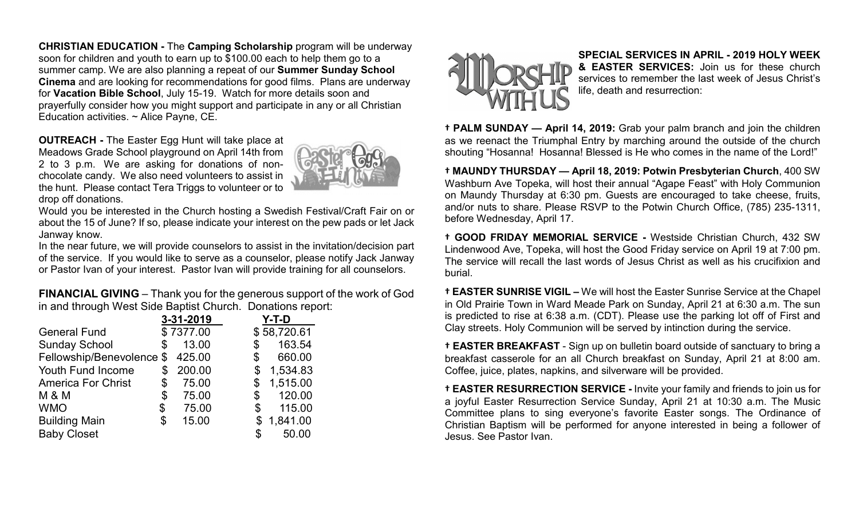**CHRISTIAN EDUCATION -** The **Camping Scholarship** program will be underway soon for children and youth to earn up to \$100.00 each to help them go to a summer camp. We are also planning a repeat of our **Summer Sunday School Cinema** and are looking for recommendations for good films. Plans are underway for **Vacation Bible School**, July 15-19. Watch for more details soon and prayerfully consider how you might support and participate in any or all Christian Education activities. ~ Alice Payne, CE.

**OUTREACH -** The Easter Egg Hunt will take place at Meadows Grade School playground on April 14th from 2 to 3 p.m. We are asking for donations of nonchocolate candy. We also need volunteers to assist in the hunt. Please contact Tera Triggs to volunteer or to drop off donations.



Would you be interested in the Church hosting a Swedish Festival/Craft Fair on or about the 15 of June? If so, please indicate your interest on the pew pads or let Jack Janway know.

In the near future, we will provide counselors to assist in the invitation/decision part of the service. If you would like to serve as a counselor, please notify Jack Janway or Pastor Ivan of your interest. Pastor Ivan will provide training for all counselors.

**FINANCIAL GIVING** – Thank you for the generous support of the work of God in and through West Side Baptist Church. Donations report:

|                           | 3-31-2019    | Y-T-D          |
|---------------------------|--------------|----------------|
| <b>General Fund</b>       | \$7377.00    | \$58,720.61    |
| <b>Sunday School</b>      | \$<br>13.00  | 163.54<br>\$   |
| Fellowship/Benevolence \$ | 425.00       | 660.00<br>\$   |
| Youth Fund Income         | \$<br>200.00 | 1,534.83<br>\$ |
| <b>America For Christ</b> | \$<br>75.00  | 1,515.00<br>\$ |
| <b>M &amp; M</b>          | \$<br>75.00  | 120.00<br>\$   |
| <b>WMO</b>                | \$<br>75.00  | 115.00<br>\$   |
| <b>Building Main</b>      | \$<br>15.00  | 1,841.00<br>\$ |
| <b>Baby Closet</b>        |              | 50.00          |



**SPECIAL SERVICES IN APRIL - 2019 HOLY WEEK & EASTER SERVICES:** Join us for these church services to remember the last week of Jesus Christ's life, death and resurrection:

**† PALM SUNDAY — April 14, 2019:** Grab your palm branch and join the children as we reenact the Triumphal Entry by marching around the outside of the church shouting "Hosanna! Hosanna! Blessed is He who comes in the name of the Lord!"

**† MAUNDY THURSDAY — April 18, 2019: Potwin Presbyterian Church**, 400 SW Washburn Ave Topeka, will host their annual "Agape Feast" with Holy Communion on Maundy Thursday at 6:30 pm. Guests are encouraged to take cheese, fruits, and/or nuts to share. Please RSVP to the Potwin Church Office, (785) 235-1311, before Wednesday, April 17.

**† GOOD FRIDAY MEMORIAL SERVICE -** Westside Christian Church, 432 SW Lindenwood Ave, Topeka, will host the Good Friday service on April 19 at 7:00 pm. The service will recall the last words of Jesus Christ as well as his crucifixion and burial.

**† EASTER SUNRISE VIGIL –** We will host the Easter Sunrise Service at the Chapel in Old Prairie Town in Ward Meade Park on Sunday, April 21 at 6:30 a.m. The sun is predicted to rise at 6:38 a.m. (CDT). Please use the parking lot off of First and Clay streets. Holy Communion will be served by intinction during the service.

**† EASTER BREAKFAST** - Sign up on bulletin board outside of sanctuary to bring a breakfast casserole for an all Church breakfast on Sunday, April 21 at 8:00 am. Coffee, juice, plates, napkins, and silverware will be provided.

**† EASTER RESURRECTION SERVICE -** Invite your family and friends to join us for a joyful Easter Resurrection Service Sunday, April 21 at 10:30 a.m. The Music Committee plans to sing everyone's favorite Easter songs. The Ordinance of Christian Baptism will be performed for anyone interested in being a follower of Jesus. See Pastor Ivan.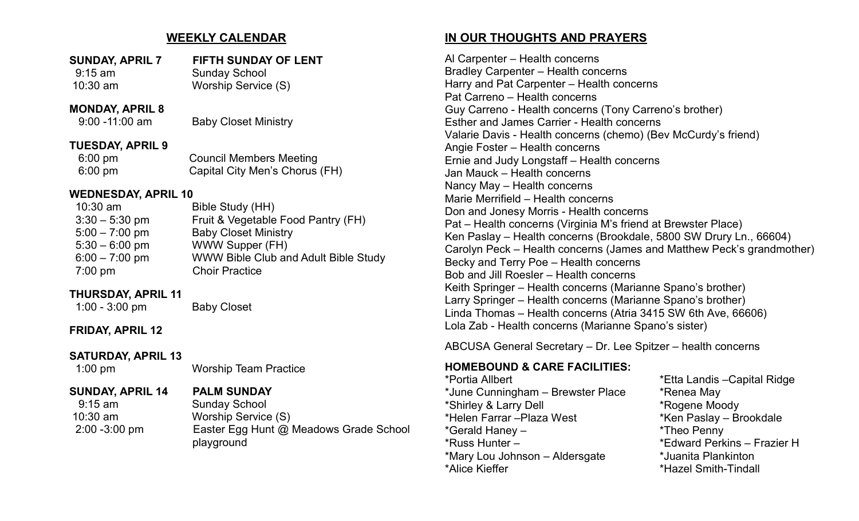#### **WEEKLY CALENDAR**

| <b>SUNDAY, APRIL 7</b> | FIFTH SUNDAY OF LENT |
|------------------------|----------------------|
| $9:15$ am              | <b>Sunday School</b> |
| $10:30$ am             | Worship Service (S)  |

## **MONDAY, APRIL 8**<br>9:00 -11:00 am

**Baby Closet Ministry** 

#### **TUESDAY, APRIL 9**

6:00 pm Council Members Meeting 6:00 pm Capital City Men's Chorus (FH)

#### **WEDNESDAY, APRIL 10**

| $10:30$ am       | Bible Study (HH)                     |
|------------------|--------------------------------------|
| $3:30 - 5:30$ pm | Fruit & Vegetable Food Pantry (FH)   |
| $5:00 - 7:00$ pm | <b>Baby Closet Ministry</b>          |
| $5:30 - 6:00$ pm | WWW Supper (FH)                      |
| $6:00 - 7:00$ pm | WWW Bible Club and Adult Bible Study |
| $7:00$ pm        | <b>Choir Practice</b>                |

#### **THURSDAY, APRIL 11**

1:00 - 3:00 pm Baby Closet

**FRIDAY, APRIL 12**

#### **SATURDAY, APRIL 13**

1:00 pm Worship Team Practice

**SUNDAY, APRIL 14 PALM SUNDAY** Sunday School 10:30 am Worship Service (S) 2:00 -3:00 pm Easter Egg Hunt @ Meadows Grade School playground

#### **IN OUR THOUGHTS AND PRAYERS**

Al Carpenter – Health concerns Bradley Carpenter – Health concerns Harry and Pat Carpenter – Health concerns Pat Carreno – Health concerns Guy Carreno - Health concerns (Tony Carreno's brother) Esther and James Carrier - Health concerns Valarie Davis - Health concerns (chemo) (Bev McCurdy's friend) Angie Foster – Health concerns Ernie and Judy Longstaff – Health concerns Jan Mauck – Health concerns Nancy May – Health concerns Marie Merrifield – Health concerns Don and Jonesy Morris - Health concerns Pat – Health concerns (Virginia M's friend at Brewster Place) Ken Paslay – Health concerns (Brookdale, 5800 SW Drury Ln., 66604) Carolyn Peck – Health concerns (James and Matthew Peck's grandmother) Becky and Terry Poe – Health concerns Bob and Jill Roesler – Health concerns Keith Springer – Health concerns (Marianne Spano's brother) Larry Springer – Health concerns (Marianne Spano's brother) Linda Thomas – Health concerns (Atria 3415 SW 6th Ave, 66606) Lola Zab - Health concerns (Marianne Spano's sister)

ABCUSA General Secretary – Dr. Lee Spitzer – health concerns

#### **HOMEBOUND & CARE FACILITIES:**

\*June Cunningham – Brewster Place \* \* Renea May \*Shirley & Larry Dell \*Rogene Moody \*Helen Farrar –Plaza West \*Ken Paslay – Brookdale \*Gerald Haney – \*Theo Penny \*Russ Hunter – \*Edward Perkins – Frazier H \*Mary Lou Johnson – Aldersgate \*Juanita Plankinton \*Alice Kieffer \*Hazel Smith-Tindall

\*Portia Allbert \*Etta Landis –Capital Ridge